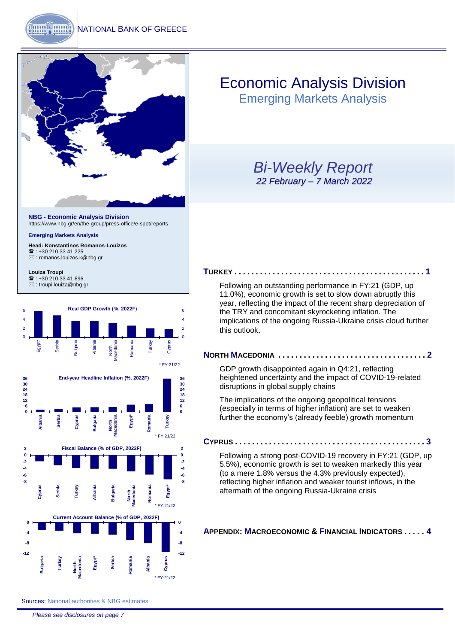

<https://www.nbg.gr/en/the-group/press-office/e-spot/reports>

#### **Emerging Markets Analysis**

**Head: Konstantinos Romanos-Louizos** <sup>2</sup>: +30 210 33 41 225 [: romanos.louizos.k@nbg.gr](mailto:romanos.louizos.k@nbg.gr)

**Louiza Troupi**  ■: +30 210 33 41 696 [: troupi.louiza@nbg.gr](mailto:troupi.louiza@nbg.gr)



## Economic Analysis Division

Emerging Markets Analysis

## *Bi-Weekly Report 22 February – 7 March 2022*

#### **T[URKEY](#page-1-0) . . . . . . . . . . . . . . . . . . . . . . . . . . . . . . . . . . . . . . . . . . . . . 1**

[Following an outstanding performance in FY:21 \(GDP, up](#page-1-0)  [11.0%\), economic growth is set to slow down abruptly this](#page-1-0)  [year, reflecting the impact of the recent sharp depreciation of](#page-1-0)  [the TRY and concomitant skyrocketing inflation. The](#page-1-0)  [implications of the ongoing Russia-Ukraine crisis cloud further](#page-1-0)  [this outlook](#page-1-0).

#### **NORTH M[ACEDONIA](#page-2-0) . . . . . . . . . . . . . . . . . . . . . . . . . . . . . . . . . . . 2**

[GDP growth disappointed again in Q4:21, reflecting](#page-2-0)  [heightened uncertainty and the impact of COVID-19-related](#page-2-0)  [disruptions in global supply chains](#page-2-0)

[The implications of the ongoing geopolitical tensions](#page-2-0)  [\(especially in terms of higher inflation\) are set to weaken](#page-2-0)  [further the economy's \(already feeble\) growth momentum](#page-2-0) 

**C[YPRUS](#page-3-0) . . . . . . . . . . . . . . . . . . . . . . . . . . . . . . . . . . . . . . . . . . . . . 3**

[Following a strong post-COVID-19 recovery in FY:21 \(GDP, up](#page-3-0)  [5.5%\), economic growth is set to weaken markedly this year](#page-3-0) (to a mere 1.8% [versus the 4.3% previously](#page-3-0) expected), [reflecting higher inflation and weaker tourist inflows, in the](#page-3-0)  [aftermath of the ongoing Russia-Ukraine crisis](#page-3-0)

**APPENDIX: M[ACROECONOMIC](#page-4-0) & FINANCIAL INDICATORS . . . . . 4**

Sources: National authorities & NBG estimates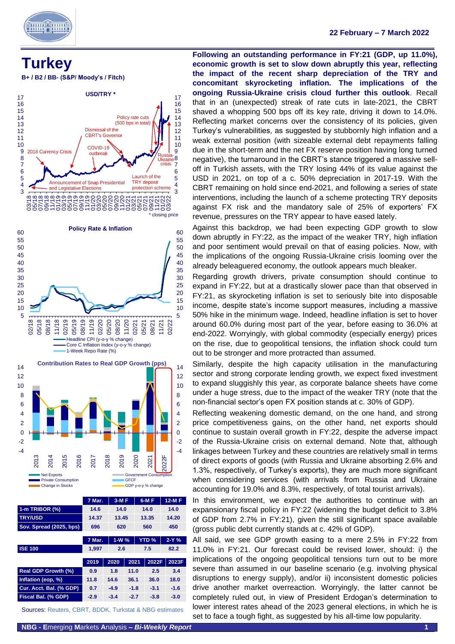

<span id="page-1-0"></span>

**B+ / B2 / BB- (S&P/ Moody's / Fitch)**



| 1-m TRIBOR (%)          | 14.6   |        | 14.0    |  | 14.0         | 14.0    |
|-------------------------|--------|--------|---------|--|--------------|---------|
| <b>TRY/USD</b>          | 14.37  |        | 13.45   |  | 13.35        | 14.20   |
| Sov. Spread (2025, bps) | 696    |        | 620     |  | 560          | 450     |
|                         |        |        |         |  |              |         |
|                         | 7 Mar. |        | $1-W$ % |  | <b>YTD %</b> | $2-Y$ % |
| <b>ISE 100</b>          | 1,997  |        | 2.6     |  | 7.5          | 82.2    |
|                         |        |        |         |  |              |         |
|                         | 2019   | 2020   | 2021    |  | 2022F        | 2023F   |
| Real GDP Growth (%)     | 0.9    | 1.8    | 11.0    |  | 2.5          | 3.4     |
| Inflation (eop, %)      | 11.8   | 14.6   | 36.1    |  | 36.0         | 18.0    |
| Cur. Acct. Bal. (% GDP) | 0.7    | $-4.9$ | $-1.8$  |  | $-3.1$       | $-1.6$  |
| Fiscal Bal. (% GDP)     | $-2.9$ | $-3.4$ | $-2.7$  |  | $-3.8$       | $-3.0$  |
|                         |        |        |         |  |              |         |

Sources: Reuters, CBRT, BDDK, Turkstat & NBG estimates

**Following an outstanding performance in FY:21 (GDP, up 11.0%), economic growth is set to slow down abruptly this year, reflecting the impact of the recent sharp depreciation of the TRY and concomitant skyrocketing inflation. The implications of the ongoing Russia-Ukraine crisis cloud further this outlook**. Recall that in an (unexpected) streak of rate cuts in late-2021, the CBRT shaved a whopping 500 bps off its key rate, driving it down to 14.0%. Reflecting market concerns over the consistency of its policies, given Turkey's vulnerabilities, as suggested by stubbornly high inflation and a weak external position (with sizeable external debt repayments falling due in the short-term and the net FX reserve position having long turned negative), the turnaround in the CBRT's stance triggered a massive selloff in Turkish assets, with the TRY losing 44% of its value against the USD in 2021, on top of a c. 50% depreciation in 2017-19. With the CBRT remaining on hold since end-2021, and following a series of state interventions, including the launch of a scheme protecting TRY deposits against FX risk and the mandatory sale of 25% of exporters' FX revenue, pressures on the TRY appear to have eased lately.

Against this backdrop, we had been expecting GDP growth to slow down abruptly in FY:22, as the impact of the weaker TRY, high inflation and poor sentiment would prevail on that of easing policies. Now, with the implications of the ongoing Russia-Ukraine crisis looming over the already beleaguered economy, the outlook appears much bleaker.

Regarding growth drivers, private consumption should continue to expand in FY:22, but at a drastically slower pace than that observed in FY:21, as skyrocketing inflation is set to seriously bite into disposable income, despite state's income support measures, including a massive 50% hike in the minimum wage. Indeed, headline inflation is set to hover around 60.0% during most part of the year, before easing to 36.0% at end-2022. Worryingly, with global commodity (especially energy) prices on the rise, due to geopolitical tensions, the inflation shock could turn out to be stronger and more protracted than assumed.

Similarly, despite the high capacity utilisation in the manufacturing sector and strong corporate lending growth, we expect fixed investment to expand sluggishly this year, as corporate balance sheets have come under a huge stress, due to the impact of the weaker TRY (note that the non-financial sector's open FX position stands at c. 30% of GDP).

Reflecting weakening domestic demand, on the one hand, and strong price competitiveness gains, on the other hand, net exports should continue to sustain overall growth in FY:22, despite the adverse impact of the Russia-Ukraine crisis on external demand. Note that, although linkages between Turkey and these countries are relatively small in terms of direct exports of goods (with Russia and Ukraine absorbing 2.6% and 1.3%, respectively, of Turkey's exports), they are much more significant when considering services (with arrivals from Russia and Ukraine accounting for 19.0% and 8.3%, respectively, of total tourist arrivals).

In this environment, we expect the authorities to continue with an expansionary fiscal policy in FY:22 (widening the budget deficit to 3.8% of GDP from 2.7% in FY:21), given the still significant space available (gross public debt currently stands at c. 42% of GDP).

All said, we see GDP growth easing to a mere 2.5% in FY:22 from 11.0% in FY:21. Our forecast could be revised lower, should: i) the implications of the ongoing geopolitical tensions turn out to be more severe than assumed in our baseline scenario (e.g. involving physical disruptions to energy supply), and/or ii) inconsistent domestic policies drive another market overreaction. Worryingly, the latter cannot be completely ruled out, in view of President Erdogan's determination to lower interest rates ahead of the 2023 general elections, in which he is set to face a tough fight, as suggested by his all-time low popularity.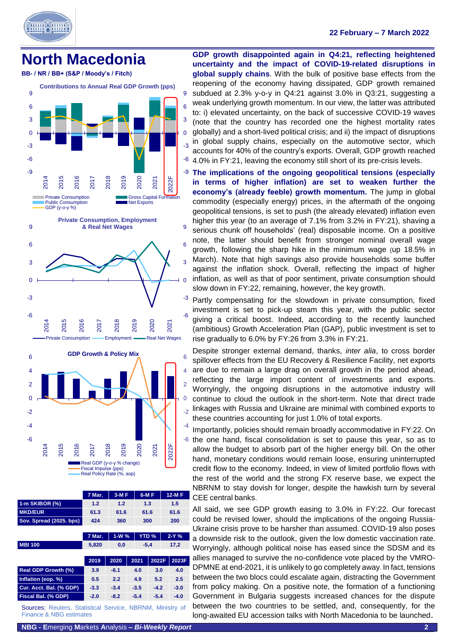

### **22 February – 7 March 2022**

## <span id="page-2-0"></span>**North Macedonia**





| <b>MKD/EUR</b>             | 61.3   | 61.6   |        | 61.6             | 61.6    |  |
|----------------------------|--------|--------|--------|------------------|---------|--|
| Sov. Spread (2025. bps)    | 424    | 360    |        | 300              | 200     |  |
|                            |        |        |        |                  |         |  |
|                            | 7 Mar. | $1-W%$ |        | YTD <sub>%</sub> | $2-Y$ % |  |
| <b>MBI 100</b>             | 5,820  | 0,0    |        | $-5,4$           | 17,2    |  |
|                            |        |        |        |                  |         |  |
|                            |        |        |        |                  |         |  |
|                            | 2019   | 2020   | 2021   | 2022F            | 2023F   |  |
| <b>Real GDP Growth (%)</b> | 3.9    | $-6.1$ | 4.0    | 3.0              | 4.0     |  |
| Inflation (eop. %)         | 0.5    | 2.2    | 4.9    | 5.2              | 2.5     |  |
| Cur. Acct. Bal. (% GDP)    | $-3.3$ | $-3.4$ | $-3.5$ | $-4.2$           | $-3.0$  |  |
| Fiscal Bal. (% GDP)        | $-2.0$ | $-8.2$ | $-5.4$ | $-5.4$           | $-4.0$  |  |

Sources: Reuters, Statistical Service, NBRNM, Ministry of Finance & NBG estimates

**GDP growth disappointed again in Q4:21, reflecting heightened uncertainty and the impact of COVID-19-related disruptions in global supply chains**. With the bulk of positive base effects from the reopening of the economy having dissipated, GDP growth remained subdued at 2.3% y-o-y in Q4:21 against 3.0% in Q3:21, suggesting a weak underlying growth momentum. In our view, the latter was attributed to: i) elevated uncertainty, on the back of successive COVID-19 waves (note that the country has recorded one the highest mortality rates globally) and a short-lived political crisis; and ii) the impact of disruptions in global supply chains, especially on the automotive sector, which accounts for 40% of the country's exports. Overall, GDP growth reached 4.0% in FY:21, leaving the economy still short of its pre-crisis levels.

-9 **The implications of the ongoing geopolitical tensions (especially in terms of higher inflation) are set to weaken further the economy's (already feeble) growth momentum.** The jump in global commodity (especially energy) prices, in the aftermath of the ongoing geopolitical tensions, is set to push (the already elevated) inflation even higher this year (to an average of 7.1% from 3.2% in FY:21), shaving a serious chunk off households' (real) disposable income. On a positive note, the latter should benefit from stronger nominal overall wage growth, following the sharp hike in the minimum wage (up 18.5% in March). Note that high savings also provide households some buffer against the inflation shock. Overall, reflecting the impact of higher inflation, as well as that of poor sentiment, private consumption should slow down in FY:22, remaining, however, the key growth.

Partly compensating for the slowdown in private consumption, fixed investment is set to pick-up steam this year, with the public sector giving a critical boost. Indeed, according to the recently launched (ambitious) Growth Acceleration Plan (GAP), public investment is set to rise gradually to 6.0% by FY:26 from 3.3% in FY:21.

Despite stronger external demand, thanks, *inter alia*, to cross border spillover effects from the EU Recovery & Resilience Facility, net exports are due to remain a large drag on overall growth in the period ahead, reflecting the large import content of investments and exports. Worryingly, the ongoing disruptions in the automotive industry will continue to cloud the outlook in the short-term. Note that direct trade linkages with Russia and Ukraine are minimal with combined exports to these countries accounting for just 1.0% of total exports.

-6 the one hand, fiscal consolidation is set to pause this year, so as to Importantly, policies should remain broadly accommodative in FY:22. On allow the budget to absorb part of the higher energy bill. On the other hand, monetary conditions would remain loose, ensuring uninterrupted credit flow to the economy. Indeed, in view of limited portfolio flows with the rest of the world and the strong FX reserve base, we expect the NBRNM to stay dovish for longer, despite the hawkish turn by several CEE central banks.

All said, we see GDP growth easing to 3.0% in FY:22. Our forecast could be revised lower, should the implications of the ongoing Russia-Ukraine crisis prove to be harsher than assumed. COVID-19 also poses a downside risk to the outlook, given the low domestic vaccination rate. Worryingly, although political noise has eased since the SDSM and its allies managed to survive the no-confidence vote placed by the VMRO-DPMNE at end-2021, it is unlikely to go completely away. In fact, tensions between the two blocs could escalate again, distracting the Government from policy making. On a positive note, the formation of a functioning Government in Bulgaria suggests increased chances for the dispute between the two countries to be settled, and, consequently, for the long-awaited EU accession talks with North Macedonia to be launched.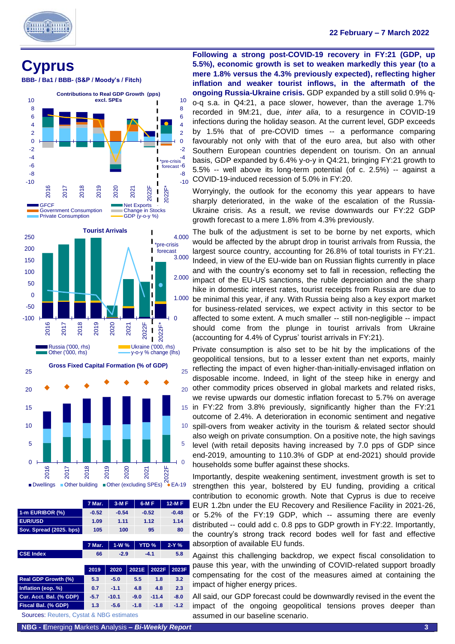

٦

# <span id="page-3-0"></span>**Cyprus**

**BBB- / Ba1 / BBB- (S&P / Moody's / Fitch)**







**Gross Fixed Capital Formation (% of GDP)**

|                         | 7 Mar.  | $3-MF$  | $6-MF$           | $12-MF$ |
|-------------------------|---------|---------|------------------|---------|
| 1-m EURIBOR (%)         | $-0.52$ | $-0.54$ | $-0.52$          | $-0.48$ |
| <b>EUR/USD</b>          | 1.09    | 1.11    | 1.12             | 1.14    |
| Sov. Spread (2025. bps) | 105     | 100     | 95               | 80      |
|                         |         |         |                  |         |
|                         | 7 Mar.  | $1-W$ % | YTD <sub>%</sub> | $2-Y%$  |

| <b>CSE Index</b>                                    | 66     | $-2.9$  |        | $-4.1$  | 5.8    |  |
|-----------------------------------------------------|--------|---------|--------|---------|--------|--|
|                                                     | 2019   | 2020    | 2021E  | 2022F   | 2023F  |  |
| <b>Real GDP Growth (%)</b>                          | 5.3    | $-5.0$  | 5.5    | 1.8     | 3.2    |  |
| Inflation (eop. %)                                  | 0.7    | $-1.1$  | 4.8    | 4.8     | 2.3    |  |
| Cur. Acct. Bal. (% GDP)                             | $-5.7$ | $-10.1$ | $-9.0$ | $-11.4$ | $-8.0$ |  |
| Fiscal Bal. (% GDP)                                 | 1.3    | $-5.6$  | $-1.8$ | $-1.8$  | $-1.2$ |  |
| <b>Sources: Reuters, Cystat &amp; NBG estimates</b> |        |         |        |         |        |  |

**Following a strong post-COVID-19 recovery in FY:21 (GDP, up 5.5%), economic growth is set to weaken markedly this year (to a mere 1.8% versus the 4.3% previously expected), reflecting higher inflation and weaker tourist inflows, in the aftermath of the ongoing Russia-Ukraine crisis.** GDP expanded by a still solid 0.9% qo-q s.a. in Q4:21, a pace slower, however, than the average 1.7% recorded in 9M:21, due, *inter alia*, to a resurgence in COVID-19 infections during the holiday season. At the current level, GDP exceeds by 1.5% that of pre-COVID times -- a performance comparing favourably not only with that of the euro area, but also with other Southern European countries dependent on tourism. On an annual basis, GDP expanded by 6.4% y-o-y in Q4:21, bringing FY:21 growth to 5.5% -- well above its long-term potential (of c. 2.5%) -- against a COVID-19-induced recession of 5.0% in FY:20.

Worryingly, the outlook for the economy this year appears to have sharply deteriorated, in the wake of the escalation of the Russia-Ukraine crisis. As a result, we revise downwards our FY:22 GDP growth forecast to a mere 1.8% from 4.3% previously.

The bulk of the adjustment is set to be borne by net exports, which would be affected by the abrupt drop in tourist arrivals from Russia, the largest source country, accounting for 26.8% of total tourists in FY:21. Indeed, in view of the EU-wide ban on Russian flights currently in place and with the country's economy set to fall in recession, reflecting the impact of the EU-US sanctions, the ruble depreciation and the sharp hike in domestic interest rates, tourist receipts from Russia are due to be minimal this year, if any. With Russia being also a key export market for business-related services, we expect activity in this sector to be affected to some extent. A much smaller -- still non-negligible -- impact should come from the plunge in tourist arrivals from Ukraine (accounting for 4.4% of Cyprus' tourist arrivals in FY:21).

20 other commodity prices observed in global markets and related risks, Private consumption is also set to be hit by the implications of the geopolitical tensions, but to a lesser extent than net exports, mainly reflecting the impact of even higher-than-initially-envisaged inflation on disposable income. Indeed, in light of the steep hike in energy and

15 in FY:22 from 3.8% previously, significantly higher than the FY:21 we revise upwards our domestic inflation forecast to 5.7% on average outcome of 2.4%. A deterioration in economic sentiment and negative

spill-overs from weaker activity in the tourism & related sector should also weigh on private consumption. On a positive note, the high savings level (with retail deposits having increased by 7.0 pps of GDP since end-2019, amounting to 110.3% of GDP at end-2021) should provide households some buffer against these shocks.

Importantly, despite weakening sentiment, investment growth is set to strengthen this year, bolstered by EU funding, providing a critical contribution to economic growth. Note that Cyprus is due to receive EUR 1.2bn under the EU Recovery and Resilience Facility in 2021-26, or 5.2% of the FY:19 GDP, which -- assuming there are evenly distributed -- could add c. 0.8 pps to GDP growth in FY:22. Importantly, the country's strong track record bodes well for fast and effective absorption of available EU funds.

Against this challenging backdrop, we expect fiscal consolidation to pause this year, with the unwinding of COVID-related support broadly compensating for the cost of the measures aimed at containing the impact of higher energy prices.

All said, our GDP forecast could be downwardly revised in the event the impact of the ongoing geopolitical tensions proves deeper than assumed in our baseline scenario.

**NBG - E**merging **M**arkets **A**nalysis **–** *Bi-Weekly Report* **3**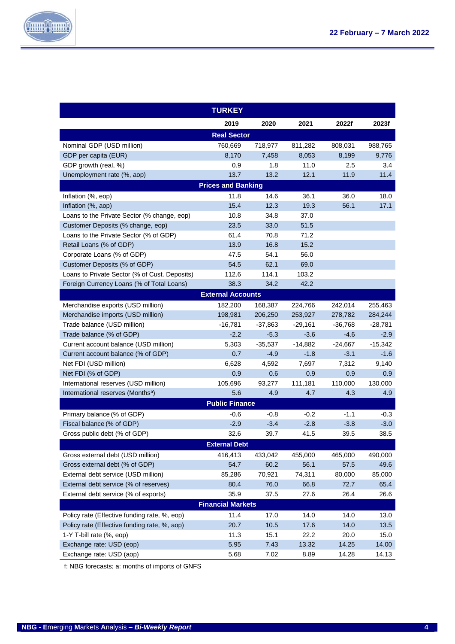

<span id="page-4-0"></span>

|                                               | <b>TURKEY</b>             |           |           |           |           |
|-----------------------------------------------|---------------------------|-----------|-----------|-----------|-----------|
|                                               | 2019                      | 2020      | 2021      | 2022f     | 2023f     |
|                                               | <b>Real Sector</b>        |           |           |           |           |
| Nominal GDP (USD million)                     | 760,669                   | 718,977   | 811,282   | 808,031   | 988,765   |
| GDP per capita (EUR)                          | 8,170                     | 7,458     | 8,053     | 8,199     | 9,776     |
| GDP growth (real, %)                          | 0.9                       | 1.8       | 11.0      | 2.5       | 3.4       |
| Unemployment rate (%, aop)                    | 13.7                      | 13.2      | 12.1      | 11.9      | 11.4      |
|                                               | <b>Prices and Banking</b> |           |           |           |           |
| Inflation (%, eop)                            | 11.8                      | 14.6      | 36.1      | 36.0      | 18.0      |
| Inflation (%, aop)                            | 15.4                      | 12.3      | 19.3      | 56.1      | 17.1      |
| Loans to the Private Sector (% change, eop)   | 10.8                      | 34.8      | 37.0      |           |           |
| Customer Deposits (% change, eop)             | 23.5                      | 33.0      | 51.5      |           |           |
| Loans to the Private Sector (% of GDP)        | 61.4                      | 70.8      | 71.2      |           |           |
| Retail Loans (% of GDP)                       | 13.9                      | 16.8      | 15.2      |           |           |
| Corporate Loans (% of GDP)                    | 47.5                      | 54.1      | 56.0      |           |           |
| Customer Deposits (% of GDP)                  | 54.5                      | 62.1      | 69.0      |           |           |
| Loans to Private Sector (% of Cust. Deposits) | 112.6                     | 114.1     | 103.2     |           |           |
| Foreign Currency Loans (% of Total Loans)     | 38.3                      | 34.2      | 42.2      |           |           |
|                                               | <b>External Accounts</b>  |           |           |           |           |
| Merchandise exports (USD million)             | 182,200                   | 168,387   | 224,766   | 242,014   | 255,463   |
| Merchandise imports (USD million)             | 198,981                   | 206,250   | 253,927   | 278,782   | 284,244   |
| Trade balance (USD million)                   | $-16,781$                 | $-37.863$ | $-29,161$ | $-36,768$ | $-28,781$ |
| Trade balance (% of GDP)                      | $-2.2$                    | $-5.3$    | $-3.6$    | $-4.6$    | $-2.9$    |
| Current account balance (USD million)         | 5,303                     | $-35,537$ | $-14,882$ | $-24,667$ | $-15,342$ |
| Current account balance (% of GDP)            | 0.7                       | $-4.9$    | $-1.8$    | $-3.1$    | $-1.6$    |
| Net FDI (USD million)                         | 6,628                     | 4,592     | 7,697     | 7,312     | 9,140     |
| Net FDI (% of GDP)                            | 0.9                       | 0.6       | 0.9       | 0.9       | 0.9       |
| International reserves (USD million)          | 105,696                   | 93,277    | 111,181   | 110,000   | 130,000   |
| International reserves (Months <sup>a</sup> ) | 5.6                       | 4.9       | 4.7       | 4.3       | 4.9       |
|                                               | <b>Public Finance</b>     |           |           |           |           |
| Primary balance (% of GDP)                    | $-0.6$                    | $-0.8$    | $-0.2$    | $-1.1$    | $-0.3$    |
| Fiscal balance (% of GDP)                     | $-2.9$                    | $-3.4$    | $-2.8$    | $-3.8$    | $-3.0$    |
| Gross public debt (% of GDP)                  | 32.6                      | 39.7      | 41.5      | 39.5      | 38.5      |
|                                               | <b>External Debt</b>      |           |           |           |           |
| Gross external debt (USD million)             | 416,413                   | 433,042   | 455,000   | 465,000   | 490,000   |
| Gross external debt (% of GDP)                | 54.7                      | 60.2      | 56.1      | 57.5      | 49.6      |
| External debt service (USD million)           | 85,286                    | 70,921    | 74,311    | 80,000    | 85,000    |
| External debt service (% of reserves)         | 80.4                      | 76.0      | 66.8      | 72.7      | 65.4      |
| External debt service (% of exports)          | 35.9                      | 37.5      | 27.6      | 26.4      | 26.6      |
|                                               | <b>Financial Markets</b>  |           |           |           |           |
| Policy rate (Effective funding rate, %, eop)  | 11.4                      | 17.0      | 14.0      | 14.0      | 13.0      |
| Policy rate (Effective funding rate, %, aop)  | 20.7                      | $10.5$    | 17.6      | 14.0      | 13.5      |
| 1-Y T-bill rate (%, eop)                      | 11.3                      | 15.1      | 22.2      | 20.0      | 15.0      |
| Exchange rate: USD (eop)                      | 5.95                      | 7.43      | 13.32     | 14.25     | 14.00     |
| Exchange rate: USD (aop)                      | 5.68                      | 7.02      | 8.89      | 14.28     | 14.13     |

f: NBG forecasts; a: months of imports of GNFS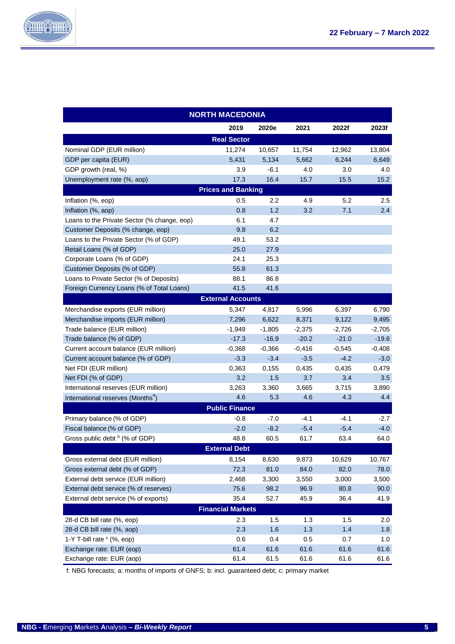

| <b>NORTH MACEDONIA</b>                        |                           |          |          |          |          |  |  |
|-----------------------------------------------|---------------------------|----------|----------|----------|----------|--|--|
|                                               | 2019                      | 2020e    | 2021     | 2022f    | 2023f    |  |  |
|                                               | <b>Real Sector</b>        |          |          |          |          |  |  |
| Nominal GDP (EUR million)                     | 11,274                    | 10,657   | 11,754   | 12,962   | 13,804   |  |  |
| GDP per capita (EUR)                          | 5,431                     | 5,134    | 5,662    | 6,244    | 6,649    |  |  |
| GDP growth (real, %)                          | 3.9                       | $-6.1$   | 4.0      | 3.0      | 4.0      |  |  |
| Unemployment rate (%, aop)                    | 17.3                      | 16.4     | 15.7     | 15.5     | 15.2     |  |  |
|                                               | <b>Prices and Banking</b> |          |          |          |          |  |  |
| Inflation (%, eop)                            | 0.5                       | $2.2\,$  | 4.9      | 5.2      | $2.5\,$  |  |  |
| Inflation (%, aop)                            | 0.8                       | 1.2      | 3.2      | 7.1      | 2.4      |  |  |
| Loans to the Private Sector (% change, eop)   | 6.1                       | 4.7      |          |          |          |  |  |
| Customer Deposits (% change, eop)             | 9.8                       | 6.2      |          |          |          |  |  |
| Loans to the Private Sector (% of GDP)        | 49.1                      | 53.2     |          |          |          |  |  |
| Retail Loans (% of GDP)                       | 25.0                      | 27.9     |          |          |          |  |  |
| Corporate Loans (% of GDP)                    | 24.1                      | 25.3     |          |          |          |  |  |
| Customer Deposits (% of GDP)                  | 55.8                      | 61.3     |          |          |          |  |  |
| Loans to Private Sector (% of Deposits)       | 88.1                      | 86.8     |          |          |          |  |  |
| Foreign Currency Loans (% of Total Loans)     | 41.5                      | 41.6     |          |          |          |  |  |
|                                               | <b>External Accounts</b>  |          |          |          |          |  |  |
| Merchandise exports (EUR million)             | 5,347                     | 4,817    | 5,996    | 6,397    | 6,790    |  |  |
| Merchandise imports (EUR million)             | 7,296                     | 6,622    | 8,371    | 9,122    | 9,495    |  |  |
| Trade balance (EUR million)                   | $-1,949$                  | $-1,805$ | $-2,375$ | -2,726   | $-2,705$ |  |  |
| Trade balance (% of GDP)                      | $-17.3$                   | $-16.9$  | $-20.2$  | $-21.0$  | $-19.6$  |  |  |
| Current account balance (EUR million)         | $-0,368$                  | $-0,366$ | $-0,416$ | $-0,545$ | $-0,408$ |  |  |
| Current account balance (% of GDP)            | $-3.3$                    | $-3.4$   | $-3.5$   | $-4.2$   | $-3.0$   |  |  |
| Net FDI (EUR million)                         | 0,363                     | 0,155    | 0,435    | 0,435    | 0,479    |  |  |
| Net FDI (% of GDP)                            | 3.2                       | 1.5      | 3.7      | 3.4      | 3.5      |  |  |
| International reserves (EUR million)          | 3,263                     | 3,360    | 3,665    | 3,715    | 3,890    |  |  |
| International reserves (Months <sup>a</sup> ) | 4.6                       | 5.3      | 4.6      | 4.3      | 4.4      |  |  |
|                                               | <b>Public Finance</b>     |          |          |          |          |  |  |
| Primary balance (% of GDP)                    | $-0.8$                    | -7.0     | $-4.1$   | $-4.1$   | -2.7     |  |  |
| Fiscal balance (% of GDP)                     | $-2.0$                    | $-8.2$   | $-5.4$   | $-5.4$   | $-4.0$   |  |  |
| Gross public debt <sup>b</sup> (% of GDP)     | 48.8                      | 60.5     | 61.7     | 63.4     | 64.0     |  |  |
|                                               | <b>External Debt</b>      |          |          |          |          |  |  |
| Gross external debt (EUR million)             | 8,154                     | 8,630    | 9,873    | 10,629   | 10,767   |  |  |
| Gross external debt (% of GDP)                | 72.3                      | 81.0     | 84.0     | 82.0     | 78.0     |  |  |
| External debt service (EUR million)           | 2,468                     | 3,300    | 3,550    | 3,000    | 3,500    |  |  |
| External debt service (% of reserves)         | 75.6                      | 98.2     | 96.9     | 80.8     | 90.0     |  |  |
| External debt service (% of exports)          | 35.4                      | 52.7     | 45.9     | 36.4     | 41.9     |  |  |
|                                               | <b>Financial Markets</b>  |          |          |          |          |  |  |
| 28-d CB bill rate (%, eop)                    | 2.3                       | 1.5      | 1.3      | 1.5      | 2.0      |  |  |
| 28-d CB bill rate (%, aop)                    | 2.3                       | 1.6      | $1.3$    | 1.4      | 1.8      |  |  |
| 1-Y T-bill rate $\circ$ (%, eop)              | 0.6                       | 0.4      | 0.5      | 0.7      | 1.0      |  |  |
| Exchange rate: EUR (eop)                      | 61.4                      | 61.6     | 61.6     | 61.6     | 61.6     |  |  |
| Exchange rate: EUR (aop)                      | 61.4                      | 61.5     | 61.6     | 61.6     | 61.6     |  |  |

f: NBG forecasts; a: months of imports of GNFS; b: incl. guaranteed debt; c: primary market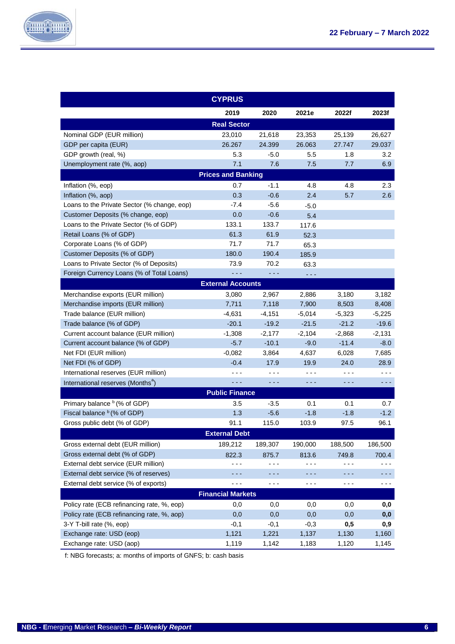

|                                               | <b>CYPRUS</b>                                                                                                                                                                                                                                                                                                                                                                                |                      |          |          |          |
|-----------------------------------------------|----------------------------------------------------------------------------------------------------------------------------------------------------------------------------------------------------------------------------------------------------------------------------------------------------------------------------------------------------------------------------------------------|----------------------|----------|----------|----------|
|                                               | 2019                                                                                                                                                                                                                                                                                                                                                                                         | 2020                 | 2021e    | 2022f    | 2023f    |
|                                               | <b>Real Sector</b>                                                                                                                                                                                                                                                                                                                                                                           |                      |          |          |          |
| Nominal GDP (EUR million)                     | 23,010                                                                                                                                                                                                                                                                                                                                                                                       | 21,618               | 23,353   | 25,139   | 26,627   |
| GDP per capita (EUR)                          | 26.267                                                                                                                                                                                                                                                                                                                                                                                       | 24.399               | 26.063   | 27.747   | 29.037   |
| GDP growth (real, %)                          | 5.3                                                                                                                                                                                                                                                                                                                                                                                          | $-5.0$               | 5.5      | 1.8      | 3.2      |
| Unemployment rate (%, aop)                    | 7.1                                                                                                                                                                                                                                                                                                                                                                                          | 7.6                  | 7.5      | 7.7      | 6.9      |
|                                               | <b>Prices and Banking</b>                                                                                                                                                                                                                                                                                                                                                                    |                      |          |          |          |
| Inflation (%, eop)                            | 0.7                                                                                                                                                                                                                                                                                                                                                                                          | $-1.1$               | 4.8      | 4.8      | 2.3      |
| Inflation (%, aop)                            | 0.3                                                                                                                                                                                                                                                                                                                                                                                          | $-0.6$               | 2.4      | 5.7      | 2.6      |
| Loans to the Private Sector (% change, eop)   | $-7.4$                                                                                                                                                                                                                                                                                                                                                                                       | $-5.6$               | $-5.0$   |          |          |
| Customer Deposits (% change, eop)             | 0.0                                                                                                                                                                                                                                                                                                                                                                                          | $-0.6$               | 5.4      |          |          |
| Loans to the Private Sector (% of GDP)        | 133.1                                                                                                                                                                                                                                                                                                                                                                                        | 133.7                | 117.6    |          |          |
| Retail Loans (% of GDP)                       | 61.3                                                                                                                                                                                                                                                                                                                                                                                         | 61.9                 | 52.3     |          |          |
| Corporate Loans (% of GDP)                    | 71.7                                                                                                                                                                                                                                                                                                                                                                                         | 71.7                 | 65.3     |          |          |
| Customer Deposits (% of GDP)                  | 180.0                                                                                                                                                                                                                                                                                                                                                                                        | 190.4                | 185.9    |          |          |
| Loans to Private Sector (% of Deposits)       | 73.9                                                                                                                                                                                                                                                                                                                                                                                         | 70.2                 | 63.3     |          |          |
| Foreign Currency Loans (% of Total Loans)     | $\frac{1}{2} \frac{1}{2} \frac{1}{2} \frac{1}{2} \frac{1}{2} \frac{1}{2} \frac{1}{2} \frac{1}{2} \frac{1}{2} \frac{1}{2} \frac{1}{2} \frac{1}{2} \frac{1}{2} \frac{1}{2} \frac{1}{2} \frac{1}{2} \frac{1}{2} \frac{1}{2} \frac{1}{2} \frac{1}{2} \frac{1}{2} \frac{1}{2} \frac{1}{2} \frac{1}{2} \frac{1}{2} \frac{1}{2} \frac{1}{2} \frac{1}{2} \frac{1}{2} \frac{1}{2} \frac{1}{2} \frac{$ | $  -$                | .        |          |          |
|                                               | <b>External Accounts</b>                                                                                                                                                                                                                                                                                                                                                                     |                      |          |          |          |
| Merchandise exports (EUR million)             | 3,080                                                                                                                                                                                                                                                                                                                                                                                        | 2,967                | 2,886    | 3,180    | 3,182    |
| Merchandise imports (EUR million)             | 7,711                                                                                                                                                                                                                                                                                                                                                                                        | 7,118                | 7,900    | 8,503    | 8,408    |
| Trade balance (EUR million)                   | $-4,631$                                                                                                                                                                                                                                                                                                                                                                                     | $-4,151$             | $-5,014$ | $-5,323$ | $-5,225$ |
| Trade balance (% of GDP)                      | $-20.1$                                                                                                                                                                                                                                                                                                                                                                                      | $-19.2$              | $-21.5$  | $-21.2$  | $-19.6$  |
| Current account balance (EUR million)         | $-1,308$                                                                                                                                                                                                                                                                                                                                                                                     | $-2,177$             | $-2,104$ | $-2,868$ | $-2,131$ |
| Current account balance (% of GDP)            | $-5.7$                                                                                                                                                                                                                                                                                                                                                                                       | $-10.1$              | $-9.0$   | $-11.4$  | $-8.0$   |
| Net FDI (EUR million)                         | $-0,082$                                                                                                                                                                                                                                                                                                                                                                                     | 3,864                | 4,637    | 6,028    | 7,685    |
| Net FDI (% of GDP)                            | $-0.4$                                                                                                                                                                                                                                                                                                                                                                                       | 17.9                 | 19.9     | 24.0     | 28.9     |
| International reserves (EUR million)          | - - -                                                                                                                                                                                                                                                                                                                                                                                        | $- - -$              | $- - -$  | - - -    |          |
| International reserves (Months <sup>a</sup> ) | - - -                                                                                                                                                                                                                                                                                                                                                                                        | $\sim$ $\sim$ $\sim$ | - - -    | - - -    | $- - -$  |
|                                               | <b>Public Finance</b>                                                                                                                                                                                                                                                                                                                                                                        |                      |          |          |          |
| Primary balance <sup>b</sup> (% of GDP)       | 3.5                                                                                                                                                                                                                                                                                                                                                                                          | $-3.5$               | 0.1      | 0.1      | 0.7      |
| Fiscal balance $b$ (% of GDP)                 | 1.3                                                                                                                                                                                                                                                                                                                                                                                          | $-5.6$               | $-1.8$   | $-1.8$   | $-1.2$   |
| Gross public debt (% of GDP)                  | 91.1                                                                                                                                                                                                                                                                                                                                                                                         | 115.0                | 103.9    | 97.5     | 96.1     |
|                                               | <b>External Debt</b>                                                                                                                                                                                                                                                                                                                                                                         |                      |          |          |          |
| Gross external debt (EUR million)             | 189,212                                                                                                                                                                                                                                                                                                                                                                                      | 189,307              | 190,000  | 188,500  | 186,500  |
| Gross external debt (% of GDP)                | 822.3                                                                                                                                                                                                                                                                                                                                                                                        | 875.7                | 813.6    | 749.8    | 700.4    |
| External debt service (EUR million)           | - - -                                                                                                                                                                                                                                                                                                                                                                                        | $- - -$              | - - -    | - - -    |          |
| External debt service (% of reserves)         | - - -                                                                                                                                                                                                                                                                                                                                                                                        | - - -                | - - -    | - - -    | - - -    |
| External debt service (% of exports)          | - - -                                                                                                                                                                                                                                                                                                                                                                                        | $- - -$              | - - -    | - - -    | - - -    |
|                                               | <b>Financial Markets</b>                                                                                                                                                                                                                                                                                                                                                                     |                      |          |          |          |
| Policy rate (ECB refinancing rate, %, eop)    | 0,0                                                                                                                                                                                                                                                                                                                                                                                          | 0,0                  | 0,0      | 0,0      | 0,0      |
| Policy rate (ECB refinancing rate, %, aop)    | 0,0                                                                                                                                                                                                                                                                                                                                                                                          | 0,0                  | 0,0      | 0,0      | 0,0      |
| 3-Y T-bill rate (%, eop)                      | $-0,1$                                                                                                                                                                                                                                                                                                                                                                                       | $-0,1$               | $-0,3$   | 0,5      | 0,9      |
| Exchange rate: USD (eop)                      | 1,121                                                                                                                                                                                                                                                                                                                                                                                        | 1,221                | 1,137    | 1,130    | 1,160    |
| Exchange rate: USD (aop)                      | 1,119                                                                                                                                                                                                                                                                                                                                                                                        | 1,142                | 1,183    | 1,120    | 1,145    |

f: NBG forecasts; a: months of imports of GNFS; b: cash basis